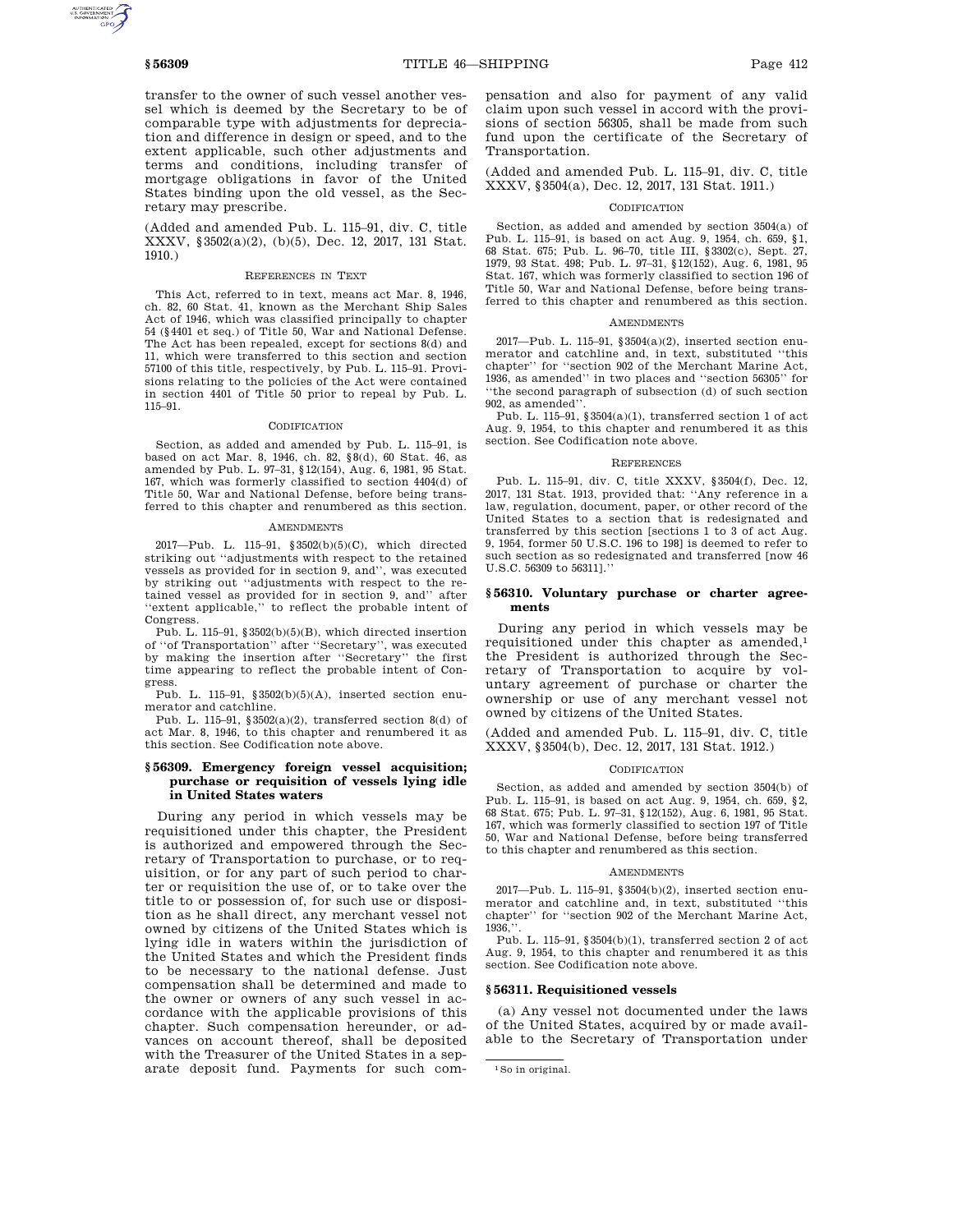transfer to the owner of such vessel another vessel which is deemed by the Secretary to be of comparable type with adjustments for depreciation and difference in design or speed, and to the extent applicable, such other adjustments and terms and conditions, including transfer of mortgage obligations in favor of the United States binding upon the old vessel, as the Secretary may prescribe.

(Added and amended Pub. L. 115–91, div. C, title XXXV, §3502(a)(2), (b)(5), Dec. 12, 2017, 131 Stat. 1910.)

## REFERENCES IN TEXT

This Act, referred to in text, means act Mar. 8, 1946, ch. 82, 60 Stat. 41, known as the Merchant Ship Sales Act of 1946, which was classified principally to chapter 54 (§4401 et seq.) of Title 50, War and National Defense. The Act has been repealed, except for sections 8(d) and 11, which were transferred to this section and section 57100 of this title, respectively, by Pub. L. 115–91. Provisions relating to the policies of the Act were contained in section 4401 of Title 50 prior to repeal by Pub. L. 115–91.

#### CODIFICATION

Section, as added and amended by Pub. L. 115–91, is based on act Mar. 8, 1946, ch. 82, §8(d), 60 Stat. 46, as amended by Pub. L. 97–31, §12(154), Aug. 6, 1981, 95 Stat. 167, which was formerly classified to section 4404(d) of Title 50, War and National Defense, before being transferred to this chapter and renumbered as this section.

#### AMENDMENTS

2017—Pub. L. 115–91, §3502(b)(5)(C), which directed striking out ''adjustments with respect to the retained vessels as provided for in section 9, and'', was executed by striking out ''adjustments with respect to the retained vessel as provided for in section 9, and'' after 'extent applicable," to reflect the probable intent of Congress.

Pub. L. 115–91, §3502(b)(5)(B), which directed insertion of ''of Transportation'' after ''Secretary'', was executed by making the insertion after ''Secretary'' the first time appearing to reflect the probable intent of Congress.

Pub. L. 115–91, §3502(b)(5)(A), inserted section enumerator and catchline.

Pub. L. 115–91, §3502(a)(2), transferred section 8(d) of act Mar. 8, 1946, to this chapter and renumbered it as this section. See Codification note above.

## **§ 56309. Emergency foreign vessel acquisition; purchase or requisition of vessels lying idle in United States waters**

During any period in which vessels may be requisitioned under this chapter, the President is authorized and empowered through the Secretary of Transportation to purchase, or to requisition, or for any part of such period to charter or requisition the use of, or to take over the title to or possession of, for such use or disposition as he shall direct, any merchant vessel not owned by citizens of the United States which is lying idle in waters within the jurisdiction of the United States and which the President finds to be necessary to the national defense. Just compensation shall be determined and made to the owner or owners of any such vessel in accordance with the applicable provisions of this chapter. Such compensation hereunder, or advances on account thereof, shall be deposited with the Treasurer of the United States in a separate deposit fund. Payments for such compensation and also for payment of any valid claim upon such vessel in accord with the provisions of section 56305, shall be made from such fund upon the certificate of the Secretary of Transportation.

(Added and amended Pub. L. 115–91, div. C, title XXXV, §3504(a), Dec. 12, 2017, 131 Stat. 1911.)

#### CODIFICATION

Section, as added and amended by section 3504(a) of Pub. L. 115–91, is based on act Aug. 9, 1954, ch. 659, §1, 68 Stat. 675; Pub. L. 96–70, title III, §3302(c), Sept. 27, 1979, 93 Stat. 498; Pub. L. 97–31, §12(152), Aug. 6, 1981, 95 Stat. 167, which was formerly classified to section 196 of Title 50, War and National Defense, before being transferred to this chapter and renumbered as this section.

#### **AMENDMENTS**

2017—Pub. L. 115–91, §3504(a)(2), inserted section enumerator and catchline and, in text, substituted ''this chapter'' for ''section 902 of the Merchant Marine Act, 1936, as amended'' in two places and ''section 56305'' for 'the second paragraph of subsection (d) of such section 902, as amended''.

Pub. L. 115–91,  $$3504(a)(1)$ , transferred section 1 of act Aug. 9, 1954, to this chapter and renumbered it as this section. See Codification note above.

### REFERENCES

Pub. L. 115–91, div. C, title XXXV, §3504(f), Dec. 12, 2017, 131 Stat. 1913, provided that: ''Any reference in a law, regulation, document, paper, or other record of the United States to a section that is redesignated and transferred by this section [sections 1 to 3 of act Aug. 9, 1954, former 50 U.S.C. 196 to 198] is deemed to refer to such section as so redesignated and transferred [now 46 U.S.C. 56309 to 56311].''

#### **§ 56310. Voluntary purchase or charter agreements**

During any period in which vessels may be requisitioned under this chapter as amended,1 the President is authorized through the Secretary of Transportation to acquire by voluntary agreement of purchase or charter the ownership or use of any merchant vessel not owned by citizens of the United States.

(Added and amended Pub. L. 115–91, div. C, title XXXV, §3504(b), Dec. 12, 2017, 131 Stat. 1912.)

### CODIFICATION

Section, as added and amended by section 3504(b) of Pub. L. 115–91, is based on act Aug. 9, 1954, ch. 659, §2, 68 Stat. 675; Pub. L. 97–31, §12(152), Aug. 6, 1981, 95 Stat. 167, which was formerly classified to section 197 of Title 50, War and National Defense, before being transferred to this chapter and renumbered as this section.

#### AMENDMENTS

2017—Pub. L. 115–91, §3504(b)(2), inserted section enumerator and catchline and, in text, substituted ''this chapter'' for ''section 902 of the Merchant Marine Act, 1936,

Pub. L. 115–91, §3504(b)(1), transferred section 2 of act Aug. 9, 1954, to this chapter and renumbered it as this section. See Codification note above.

## **§ 56311. Requisitioned vessels**

(a) Any vessel not documented under the laws of the United States, acquired by or made available to the Secretary of Transportation under

<sup>1</sup>So in original.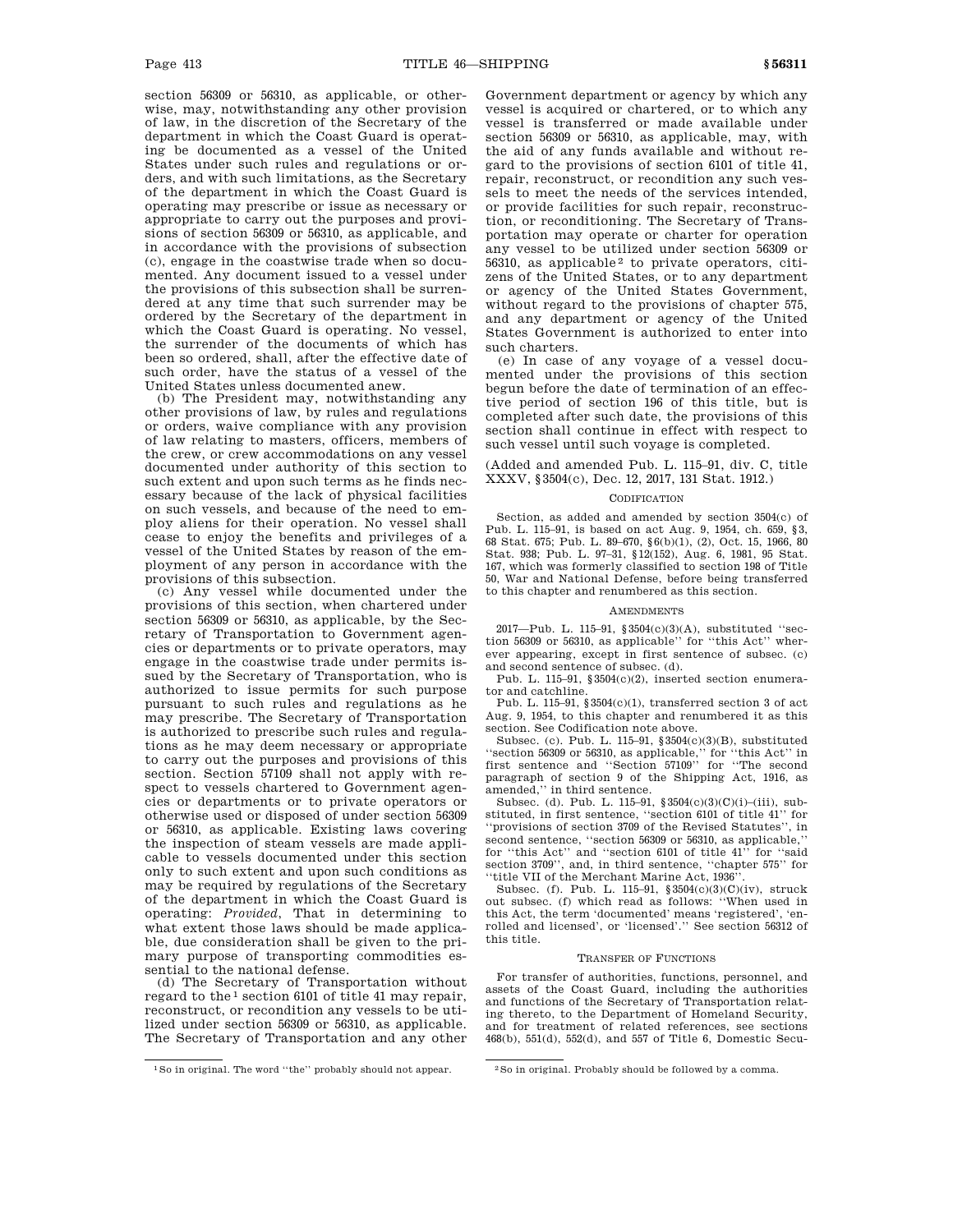section 56309 or 56310, as applicable, or otherwise, may, notwithstanding any other provision of law, in the discretion of the Secretary of the department in which the Coast Guard is operating be documented as a vessel of the United States under such rules and regulations or orders, and with such limitations, as the Secretary of the department in which the Coast Guard is operating may prescribe or issue as necessary or appropriate to carry out the purposes and provisions of section 56309 or 56310, as applicable, and in accordance with the provisions of subsection (c), engage in the coastwise trade when so documented. Any document issued to a vessel under the provisions of this subsection shall be surrendered at any time that such surrender may be ordered by the Secretary of the department in which the Coast Guard is operating. No vessel, the surrender of the documents of which has been so ordered, shall, after the effective date of such order, have the status of a vessel of the United States unless documented anew.

(b) The President may, notwithstanding any other provisions of law, by rules and regulations or orders, waive compliance with any provision of law relating to masters, officers, members of the crew, or crew accommodations on any vessel documented under authority of this section to such extent and upon such terms as he finds necessary because of the lack of physical facilities on such vessels, and because of the need to employ aliens for their operation. No vessel shall cease to enjoy the benefits and privileges of a vessel of the United States by reason of the employment of any person in accordance with the provisions of this subsection.

(c) Any vessel while documented under the provisions of this section, when chartered under section 56309 or 56310, as applicable, by the Secretary of Transportation to Government agencies or departments or to private operators, may engage in the coastwise trade under permits issued by the Secretary of Transportation, who is authorized to issue permits for such purpose pursuant to such rules and regulations as he may prescribe. The Secretary of Transportation is authorized to prescribe such rules and regulations as he may deem necessary or appropriate to carry out the purposes and provisions of this section. Section 57109 shall not apply with respect to vessels chartered to Government agencies or departments or to private operators or otherwise used or disposed of under section 56309 or 56310, as applicable. Existing laws covering the inspection of steam vessels are made applicable to vessels documented under this section only to such extent and upon such conditions as may be required by regulations of the Secretary of the department in which the Coast Guard is operating: *Provided*, That in determining to what extent those laws should be made applicable, due consideration shall be given to the primary purpose of transporting commodities essential to the national defense.

(d) The Secretary of Transportation without regard to the<sup>1</sup> section 6101 of title 41 may repair, reconstruct, or recondition any vessels to be utilized under section 56309 or 56310, as applicable. The Secretary of Transportation and any other

Government department or agency by which any vessel is acquired or chartered, or to which any vessel is transferred or made available under section 56309 or 56310, as applicable, may, with the aid of any funds available and without regard to the provisions of section 6101 of title 41, repair, reconstruct, or recondition any such vessels to meet the needs of the services intended, or provide facilities for such repair, reconstruction, or reconditioning. The Secretary of Transportation may operate or charter for operation any vessel to be utilized under section 56309 or  $56310$ , as applicable<sup>2</sup> to private operators, citizens of the United States, or to any department or agency of the United States Government, without regard to the provisions of chapter 575, and any department or agency of the United States Government is authorized to enter into such charters.

(e) In case of any voyage of a vessel documented under the provisions of this section begun before the date of termination of an effective period of section 196 of this title, but is completed after such date, the provisions of this section shall continue in effect with respect to such vessel until such voyage is completed.

(Added and amended Pub. L. 115–91, div. C, title XXXV, §3504(c), Dec. 12, 2017, 131 Stat. 1912.)

#### **CODIFICATION**

Section, as added and amended by section 3504(c) of Pub. L. 115–91, is based on act Aug. 9, 1954, ch. 659, §3, 68 Stat. 675; Pub. L. 89–670, §6(b)(1), (2), Oct. 15, 1966, 80 Stat. 938; Pub. L. 97–31, §12(152), Aug. 6, 1981, 95 Stat. 167, which was formerly classified to section 198 of Title 50, War and National Defense, before being transferred to this chapter and renumbered as this section.

### AMENDMENTS

2017—Pub. L. 115–91, §3504(c)(3)(A), substituted ''sec-tion 56309 or 56310, as applicable'' for ''this Act'' wherever appearing, except in first sentence of subsec. (c) and second sentence of subsec. (d).

Pub. L. 115–91, §3504(c)(2), inserted section enumerator and catchline.

Pub. L. 115–91, §3504(c)(1), transferred section 3 of act Aug. 9, 1954, to this chapter and renumbered it as this section. See Codification note above.

Subsec. (c). Pub. L. 115–91, §3504(c)(3)(B), substituted ''section 56309 or 56310, as applicable,'' for ''this Act'' in first sentence and ''Section 57109'' for ''The second paragraph of section 9 of the Shipping Act, 1916, as amended,'' in third sentence.

Subsec. (d). Pub. L. 115–91,  $$3504(c)(3)(C)(i)–(iii)$ , substituted, in first sentence, ''section 6101 of title 41'' for ''provisions of section 3709 of the Revised Statutes'', in second sentence, ''section 56309 or 56310, as applicable,'' for ''this Act'' and ''section 6101 of title 41'' for ''said section 3709'', and, in third sentence, ''chapter 575'' for ''title VII of the Merchant Marine Act, 1936''.

Subsec. (f). Pub. L. 115–91, §3504(c)(3)(C)(iv), struck out subsec. (f) which read as follows: ''When used in this Act, the term 'documented' means 'registered', 'enrolled and licensed', or 'licensed'.'' See section 56312 of this title.

#### TRANSFER OF FUNCTIONS

For transfer of authorities, functions, personnel, and assets of the Coast Guard, including the authorities and functions of the Secretary of Transportation relating thereto, to the Department of Homeland Security, and for treatment of related references, see sections 468(b), 551(d), 552(d), and 557 of Title 6, Domestic Secu-

<sup>1</sup>So in original. The word ''the'' probably should not appear. 2So in original. Probably should be followed by a comma.